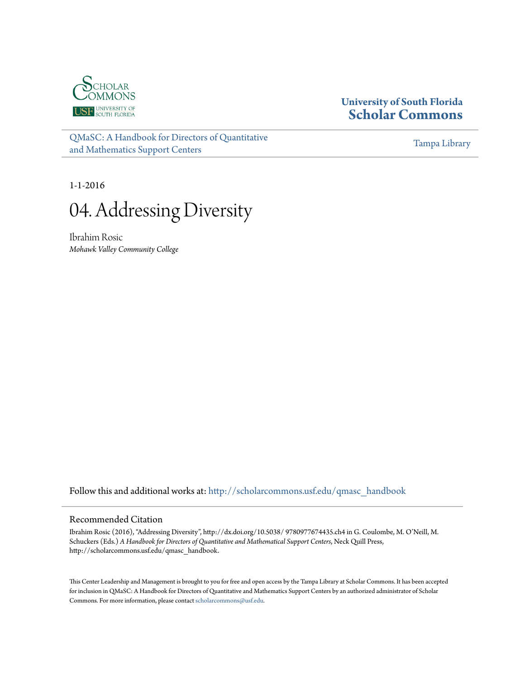

# **University of South Florida [Scholar Commons](http://scholarcommons.usf.edu?utm_source=scholarcommons.usf.edu%2Fqmasc_handbook%2F4&utm_medium=PDF&utm_campaign=PDFCoverPages)**

[QMaSC: A Handbook for Directors of Quantitative](http://scholarcommons.usf.edu/qmasc_handbook?utm_source=scholarcommons.usf.edu%2Fqmasc_handbook%2F4&utm_medium=PDF&utm_campaign=PDFCoverPages) [and Mathematics Support Centers](http://scholarcommons.usf.edu/qmasc_handbook?utm_source=scholarcommons.usf.edu%2Fqmasc_handbook%2F4&utm_medium=PDF&utm_campaign=PDFCoverPages)

[Tampa Library](http://scholarcommons.usf.edu/tlib?utm_source=scholarcommons.usf.edu%2Fqmasc_handbook%2F4&utm_medium=PDF&utm_campaign=PDFCoverPages)

1-1-2016



Ibrahim Rosic *Mohawk Valley Community College*

Follow this and additional works at: [http://scholarcommons.usf.edu/qmasc\\_handbook](http://scholarcommons.usf.edu/qmasc_handbook?utm_source=scholarcommons.usf.edu%2Fqmasc_handbook%2F4&utm_medium=PDF&utm_campaign=PDFCoverPages)

#### Recommended Citation

Ibrahim Rosic (2016), "Addressing Diversity", http://dx.doi.org/10.5038/ 9780977674435.ch4 in G. Coulombe, M. O'Neill, M. Schuckers (Eds.) *A Handbook for Directors of Quantitative and Mathematical Support Centers*, Neck Quill Press, http://scholarcommons.usf.edu/qmasc\_handbook.

This Center Leadership and Management is brought to you for free and open access by the Tampa Library at Scholar Commons. It has been accepted for inclusion in QMaSC: A Handbook for Directors of Quantitative and Mathematics Support Centers by an authorized administrator of Scholar Commons. For more information, please contact [scholarcommons@usf.edu](mailto:scholarcommons@usf.edu).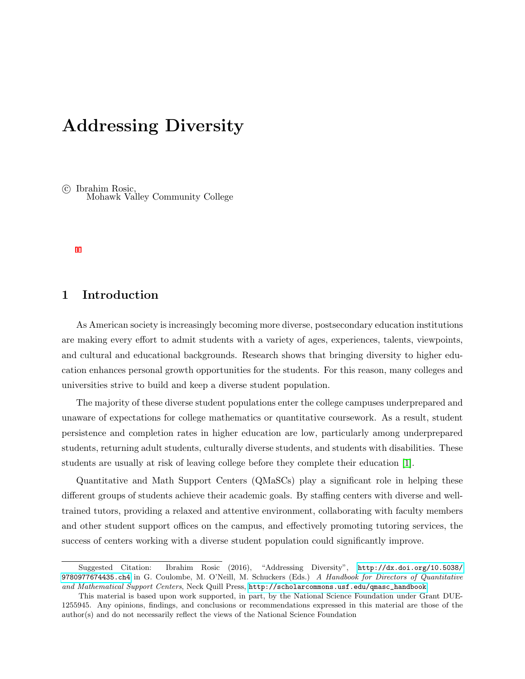# Addressing Diversity

 c Ibrahim Rosic, Mohawk Valley Community College

## 1 Introduction

As American society is increasingly becoming more diverse, postsecondary education institutions are making every effort to admit students with a variety of ages, experiences, talents, viewpoints, and cultural and educational backgrounds. Research shows that bringing diversity to higher education enhances personal growth opportunities for the students. For this reason, many colleges and universities strive to build and keep a diverse student population.

The majority of these diverse student populations enter the college campuses underprepared and unaware of expectations for college mathematics or quantitative coursework. As a result, student persistence and completion rates in higher education are low, particularly among underprepared students, returning adult students, culturally diverse students, and students with disabilities. These students are usually at risk of leaving college before they complete their education [1].

Quantitative and Math Support Centers (QMaSCs) play a significant role in helping these different groups of students achieve their academic goals. By staffing centers with diverse and welltrained tutors, providing a relaxed and attentive environment, collaborating with faculty members and other student support offices on the campus, and effectively promoting tutoring services, the success of centers working with a diverse student population could significantly improve.

Suggested Citation: Ibrahim Rosic (2016), "Addressing Diversity", [http://dx.doi.org/10.5038/](http://dx.doi.org/10.5038/9780977674435.ch4) [9780977674435.ch4](http://dx.doi.org/10.5038/9780977674435.ch4) in G. Coulombe, M. O'Neill, M. Schuckers (Eds.) A Handbook for Directors of Quantitative and Mathematical Support Centers, Neck Quill Press, [http://scholarcommons.usf.edu/qmasc\\_handbook](http://scholarcommons.usf.edu/qmasc_handbook).

This material is based upon work supported, in part, by the National Science Foundation under Grant DUE-1255945. Any opinions, findings, and conclusions or recommendations expressed in this material are those of the author(s) and do not necessarily reflect the views of the National Science Foundation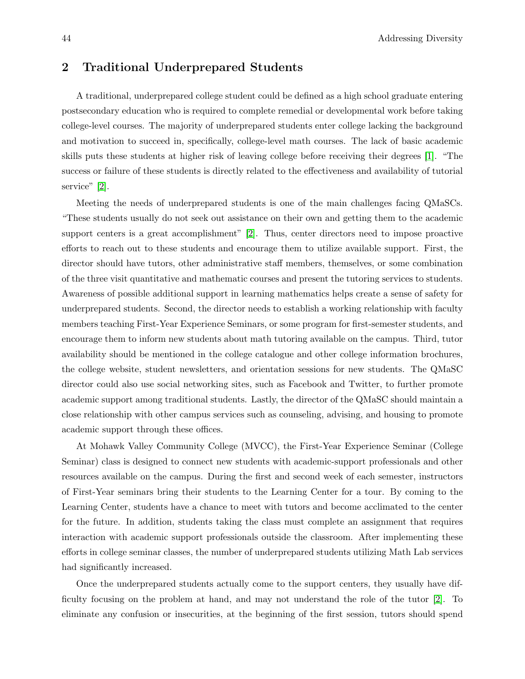#### 2 Traditional Underprepared Students

A traditional, underprepared college student could be defined as a high school graduate entering postsecondary education who is required to complete remedial or developmental work before taking college-level courses. The majority of underprepared students enter college lacking the background and motivation to succeed in, specifically, college-level math courses. The lack of basic academic skills puts these students at higher risk of leaving college before receiving their degrees [1]. "The success or failure of these students is directly related to the effectiveness and availability of tutorial service" [2].

Meeting the needs of underprepared students is one of the main challenges facing QMaSCs. "These students usually do not seek out assistance on their own and getting them to the academic support centers is a great accomplishment" [2]. Thus, center directors need to impose proactive efforts to reach out to these students and encourage them to utilize available support. First, the director should have tutors, other administrative staff members, themselves, or some combination of the three visit quantitative and mathematic courses and present the tutoring services to students. Awareness of possible additional support in learning mathematics helps create a sense of safety for underprepared students. Second, the director needs to establish a working relationship with faculty members teaching First-Year Experience Seminars, or some program for first-semester students, and encourage them to inform new students about math tutoring available on the campus. Third, tutor availability should be mentioned in the college catalogue and other college information brochures, the college website, student newsletters, and orientation sessions for new students. The QMaSC director could also use social networking sites, such as Facebook and Twitter, to further promote academic support among traditional students. Lastly, the director of the QMaSC should maintain a close relationship with other campus services such as counseling, advising, and housing to promote academic support through these offices.

At Mohawk Valley Community College (MVCC), the First-Year Experience Seminar (College Seminar) class is designed to connect new students with academic-support professionals and other resources available on the campus. During the first and second week of each semester, instructors of First-Year seminars bring their students to the Learning Center for a tour. By coming to the Learning Center, students have a chance to meet with tutors and become acclimated to the center for the future. In addition, students taking the class must complete an assignment that requires interaction with academic support professionals outside the classroom. After implementing these efforts in college seminar classes, the number of underprepared students utilizing Math Lab services had significantly increased.

Once the underprepared students actually come to the support centers, they usually have difficulty focusing on the problem at hand, and may not understand the role of the tutor [2]. To eliminate any confusion or insecurities, at the beginning of the first session, tutors should spend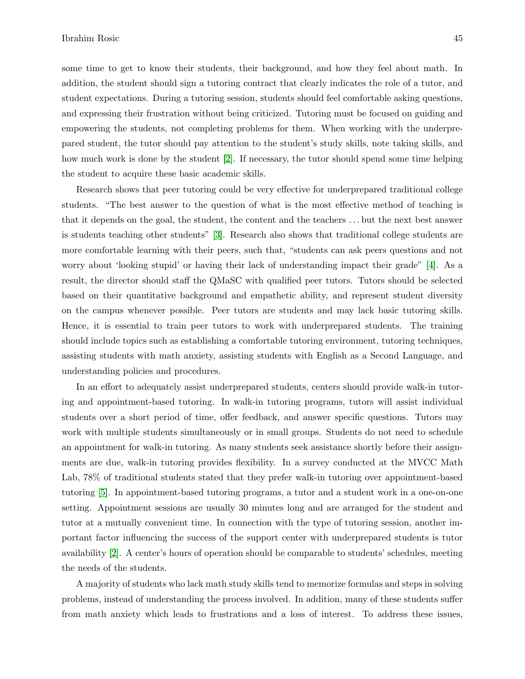some time to get to know their students, their background, and how they feel about math. In addition, the student should sign a tutoring contract that clearly indicates the role of a tutor, and student expectations. During a tutoring session, students should feel comfortable asking questions, and expressing their frustration without being criticized. Tutoring must be focused on guiding and empowering the students, not completing problems for them. When working with the underprepared student, the tutor should pay attention to the student's study skills, note taking skills, and how much work is done by the student [2]. If necessary, the tutor should spend some time helping the student to acquire these basic academic skills.

Research shows that peer tutoring could be very effective for underprepared traditional college students. "The best answer to the question of what is the most effective method of teaching is that it depends on the goal, the student, the content and the teachers . . . but the next best answer is students teaching other students" [3]. Research also shows that traditional college students are more comfortable learning with their peers, such that, "students can ask peers questions and not worry about 'looking stupid' or having their lack of understanding impact their grade" [4]. As a result, the director should staff the QMaSC with qualified peer tutors. Tutors should be selected based on their quantitative background and empathetic ability, and represent student diversity on the campus whenever possible. Peer tutors are students and may lack basic tutoring skills. Hence, it is essential to train peer tutors to work with underprepared students. The training should include topics such as establishing a comfortable tutoring environment, tutoring techniques, assisting students with math anxiety, assisting students with English as a Second Language, and understanding policies and procedures.

In an effort to adequately assist underprepared students, centers should provide walk-in tutoring and appointment-based tutoring. In walk-in tutoring programs, tutors will assist individual students over a short period of time, offer feedback, and answer specific questions. Tutors may work with multiple students simultaneously or in small groups. Students do not need to schedule an appointment for walk-in tutoring. As many students seek assistance shortly before their assignments are due, walk-in tutoring provides flexibility. In a survey conducted at the MVCC Math Lab, 78% of traditional students stated that they prefer walk-in tutoring over appointment-based tutoring [5]. In appointment-based tutoring programs, a tutor and a student work in a one-on-one setting. Appointment sessions are usually 30 minutes long and are arranged for the student and tutor at a mutually convenient time. In connection with the type of tutoring session, another important factor influencing the success of the support center with underprepared students is tutor availability [2]. A center's hours of operation should be comparable to students' schedules, meeting the needs of the students.

A majority of students who lack math study skills tend to memorize formulas and steps in solving problems, instead of understanding the process involved. In addition, many of these students suffer from math anxiety which leads to frustrations and a loss of interest. To address these issues,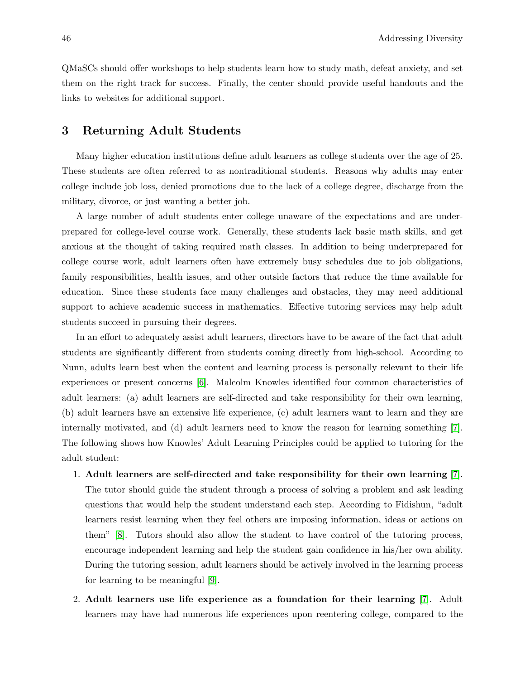QMaSCs should offer workshops to help students learn how to study math, defeat anxiety, and set them on the right track for success. Finally, the center should provide useful handouts and the links to websites for additional support.

#### 3 Returning Adult Students

Many higher education institutions define adult learners as college students over the age of 25. These students are often referred to as nontraditional students. Reasons why adults may enter college include job loss, denied promotions due to the lack of a college degree, discharge from the military, divorce, or just wanting a better job.

A large number of adult students enter college unaware of the expectations and are underprepared for college-level course work. Generally, these students lack basic math skills, and get anxious at the thought of taking required math classes. In addition to being underprepared for college course work, adult learners often have extremely busy schedules due to job obligations, family responsibilities, health issues, and other outside factors that reduce the time available for education. Since these students face many challenges and obstacles, they may need additional support to achieve academic success in mathematics. Effective tutoring services may help adult students succeed in pursuing their degrees.

In an effort to adequately assist adult learners, directors have to be aware of the fact that adult students are significantly different from students coming directly from high-school. According to Nunn, adults learn best when the content and learning process is personally relevant to their life experiences or present concerns [6]. Malcolm Knowles identified four common characteristics of adult learners: (a) adult learners are self-directed and take responsibility for their own learning, (b) adult learners have an extensive life experience, (c) adult learners want to learn and they are internally motivated, and (d) adult learners need to know the reason for learning something [7]. The following shows how Knowles' Adult Learning Principles could be applied to tutoring for the adult student:

- 1. Adult learners are self-directed and take responsibility for their own learning [7]. The tutor should guide the student through a process of solving a problem and ask leading questions that would help the student understand each step. According to Fidishun, "adult learners resist learning when they feel others are imposing information, ideas or actions on them" [8]. Tutors should also allow the student to have control of the tutoring process, encourage independent learning and help the student gain confidence in his/her own ability. During the tutoring session, adult learners should be actively involved in the learning process for learning to be meaningful [9].
- 2. Adult learners use life experience as a foundation for their learning [7]. Adult learners may have had numerous life experiences upon reentering college, compared to the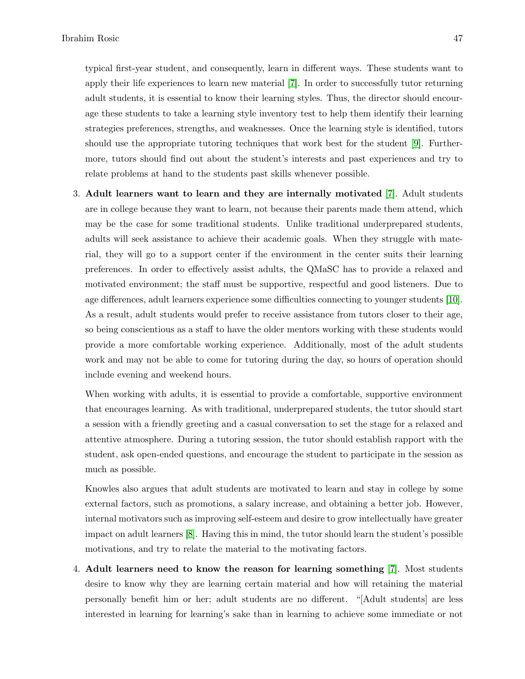typical first-year student, and consequently, learn in different ways. These students want to apply their life experiences to learn new material [7]. In order to successfully tutor returning adult students, it is essential to know their learning styles. Thus, the director should encourage these students to take a learning style inventory test to help them identify their learning strategies preferences, strengths, and weaknesses. Once the learning style is identified, tutors should use the appropriate tutoring techniques that work best for the student [9]. Furthermore, tutors should find out about the student's interests and past experiences and try to relate problems at hand to the students past skills whenever possible.

3. Adult learners want to learn and they are internally motivated [7]. Adult students are in college because they want to learn, not because their parents made them attend, which may be the case for some traditional students. Unlike traditional underprepared students, adults will seek assistance to achieve their academic goals. When they struggle with material, they will go to a support center if the environment in the center suits their learning preferences. In order to effectively assist adults, the QMaSC has to provide a relaxed and motivated environment; the staff must be supportive, respectful and good listeners. Due to age differences, adult learners experience some difficulties connecting to younger students [10]. As a result, adult students would prefer to receive assistance from tutors closer to their age, so being conscientious as a staff to have the older mentors working with these students would provide a more comfortable working experience. Additionally, most of the adult students work and may not be able to come for tutoring during the day, so hours of operation should include evening and weekend hours.

When working with adults, it is essential to provide a comfortable, supportive environment that encourages learning. As with traditional, underprepared students, the tutor should start a session with a friendly greeting and a casual conversation to set the stage for a relaxed and attentive atmosphere. During a tutoring session, the tutor should establish rapport with the student, ask open-ended questions, and encourage the student to participate in the session as much as possible.

Knowles also argues that adult students are motivated to learn and stay in college by some external factors, such as promotions, a salary increase, and obtaining a better job. However, internal motivators such as improving self-esteem and desire to grow intellectually have greater impact on adult learners [8]. Having this in mind, the tutor should learn the student's possible motivations, and try to relate the material to the motivating factors.

4. Adult learners need to know the reason for learning something [7]. Most students desire to know why they are learning certain material and how will retaining the material personally benefit him or her; adult students are no different. "[Adult students] are less interested in learning for learning's sake than in learning to achieve some immediate or not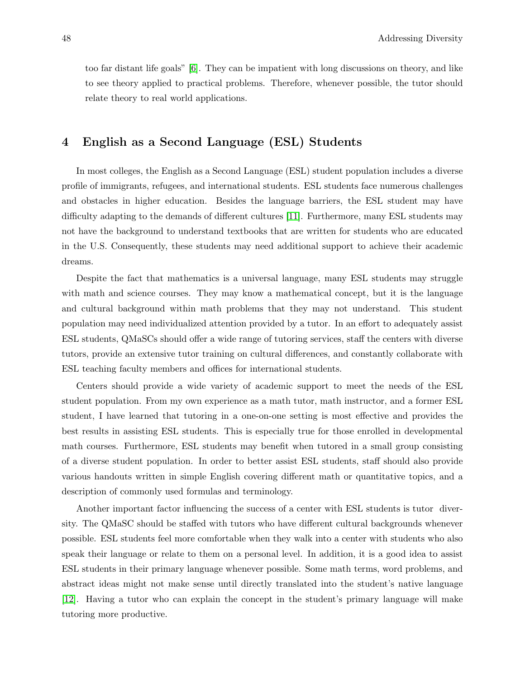too far distant life goals" [6]. They can be impatient with long discussions on theory, and like to see theory applied to practical problems. Therefore, whenever possible, the tutor should relate theory to real world applications.

#### 4 English as a Second Language (ESL) Students

In most colleges, the English as a Second Language (ESL) student population includes a diverse profile of immigrants, refugees, and international students. ESL students face numerous challenges and obstacles in higher education. Besides the language barriers, the ESL student may have difficulty adapting to the demands of different cultures [11]. Furthermore, many ESL students may not have the background to understand textbooks that are written for students who are educated in the U.S. Consequently, these students may need additional support to achieve their academic dreams.

Despite the fact that mathematics is a universal language, many ESL students may struggle with math and science courses. They may know a mathematical concept, but it is the language and cultural background within math problems that they may not understand. This student population may need individualized attention provided by a tutor. In an effort to adequately assist ESL students, QMaSCs should offer a wide range of tutoring services, staff the centers with diverse tutors, provide an extensive tutor training on cultural differences, and constantly collaborate with ESL teaching faculty members and offices for international students.

Centers should provide a wide variety of academic support to meet the needs of the ESL student population. From my own experience as a math tutor, math instructor, and a former ESL student, I have learned that tutoring in a one-on-one setting is most effective and provides the best results in assisting ESL students. This is especially true for those enrolled in developmental math courses. Furthermore, ESL students may benefit when tutored in a small group consisting of a diverse student population. In order to better assist ESL students, staff should also provide various handouts written in simple English covering different math or quantitative topics, and a description of commonly used formulas and terminology.

Another important factor influencing the success of a center with ESL students is tutor diversity. The QMaSC should be staffed with tutors who have different cultural backgrounds whenever possible. ESL students feel more comfortable when they walk into a center with students who also speak their language or relate to them on a personal level. In addition, it is a good idea to assist ESL students in their primary language whenever possible. Some math terms, word problems, and abstract ideas might not make sense until directly translated into the student's native language [12]. Having a tutor who can explain the concept in the student's primary language will make tutoring more productive.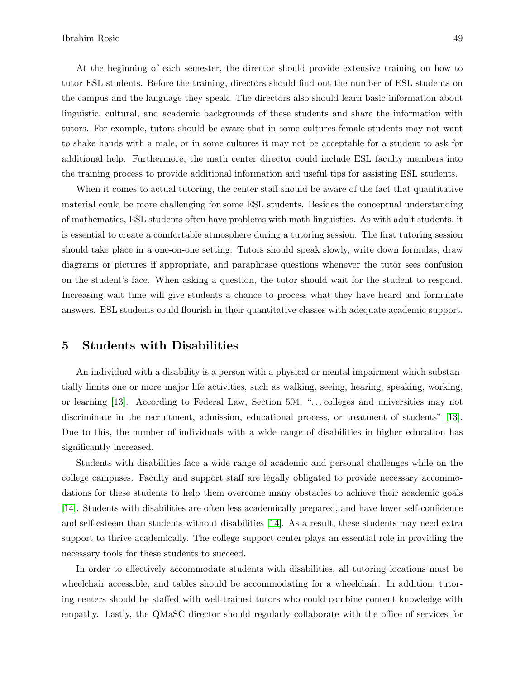At the beginning of each semester, the director should provide extensive training on how to tutor ESL students. Before the training, directors should find out the number of ESL students on the campus and the language they speak. The directors also should learn basic information about linguistic, cultural, and academic backgrounds of these students and share the information with tutors. For example, tutors should be aware that in some cultures female students may not want to shake hands with a male, or in some cultures it may not be acceptable for a student to ask for additional help. Furthermore, the math center director could include ESL faculty members into the training process to provide additional information and useful tips for assisting ESL students.

When it comes to actual tutoring, the center staff should be aware of the fact that quantitative material could be more challenging for some ESL students. Besides the conceptual understanding of mathematics, ESL students often have problems with math linguistics. As with adult students, it is essential to create a comfortable atmosphere during a tutoring session. The first tutoring session should take place in a one-on-one setting. Tutors should speak slowly, write down formulas, draw diagrams or pictures if appropriate, and paraphrase questions whenever the tutor sees confusion on the student's face. When asking a question, the tutor should wait for the student to respond. Increasing wait time will give students a chance to process what they have heard and formulate answers. ESL students could flourish in their quantitative classes with adequate academic support.

#### 5 Students with Disabilities

An individual with a disability is a person with a physical or mental impairment which substantially limits one or more major life activities, such as walking, seeing, hearing, speaking, working, or learning [13]. According to Federal Law, Section 504, ". . . colleges and universities may not discriminate in the recruitment, admission, educational process, or treatment of students" [13]. Due to this, the number of individuals with a wide range of disabilities in higher education has significantly increased.

Students with disabilities face a wide range of academic and personal challenges while on the college campuses. Faculty and support staff are legally obligated to provide necessary accommodations for these students to help them overcome many obstacles to achieve their academic goals [14]. Students with disabilities are often less academically prepared, and have lower self-confidence and self-esteem than students without disabilities [14]. As a result, these students may need extra support to thrive academically. The college support center plays an essential role in providing the necessary tools for these students to succeed.

In order to effectively accommodate students with disabilities, all tutoring locations must be wheelchair accessible, and tables should be accommodating for a wheelchair. In addition, tutoring centers should be staffed with well-trained tutors who could combine content knowledge with empathy. Lastly, the QMaSC director should regularly collaborate with the office of services for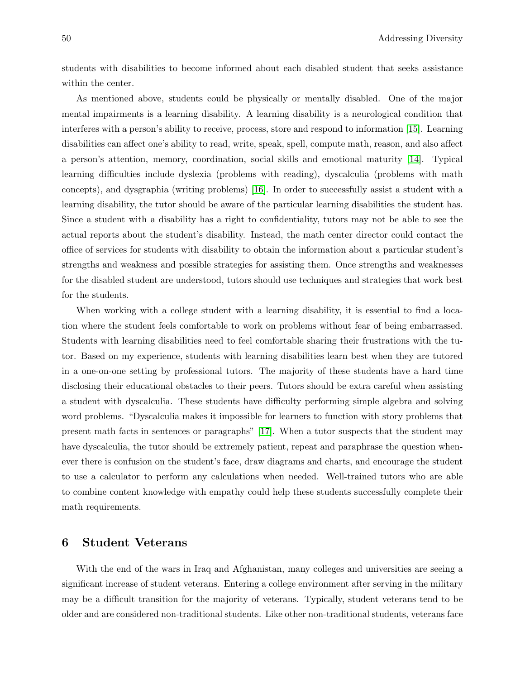students with disabilities to become informed about each disabled student that seeks assistance within the center.

As mentioned above, students could be physically or mentally disabled. One of the major mental impairments is a learning disability. A learning disability is a neurological condition that interferes with a person's ability to receive, process, store and respond to information [15]. Learning disabilities can affect one's ability to read, write, speak, spell, compute math, reason, and also affect a person's attention, memory, coordination, social skills and emotional maturity [14]. Typical learning difficulties include dyslexia (problems with reading), dyscalculia (problems with math concepts), and dysgraphia (writing problems) [16]. In order to successfully assist a student with a learning disability, the tutor should be aware of the particular learning disabilities the student has. Since a student with a disability has a right to confidentiality, tutors may not be able to see the actual reports about the student's disability. Instead, the math center director could contact the office of services for students with disability to obtain the information about a particular student's strengths and weakness and possible strategies for assisting them. Once strengths and weaknesses for the disabled student are understood, tutors should use techniques and strategies that work best for the students.

When working with a college student with a learning disability, it is essential to find a location where the student feels comfortable to work on problems without fear of being embarrassed. Students with learning disabilities need to feel comfortable sharing their frustrations with the tutor. Based on my experience, students with learning disabilities learn best when they are tutored in a one-on-one setting by professional tutors. The majority of these students have a hard time disclosing their educational obstacles to their peers. Tutors should be extra careful when assisting a student with dyscalculia. These students have difficulty performing simple algebra and solving word problems. "Dyscalculia makes it impossible for learners to function with story problems that present math facts in sentences or paragraphs" [17]. When a tutor suspects that the student may have dyscalculia, the tutor should be extremely patient, repeat and paraphrase the question whenever there is confusion on the student's face, draw diagrams and charts, and encourage the student to use a calculator to perform any calculations when needed. Well-trained tutors who are able to combine content knowledge with empathy could help these students successfully complete their math requirements.

## 6 Student Veterans

With the end of the wars in Iraq and Afghanistan, many colleges and universities are seeing a significant increase of student veterans. Entering a college environment after serving in the military may be a difficult transition for the majority of veterans. Typically, student veterans tend to be older and are considered non-traditional students. Like other non-traditional students, veterans face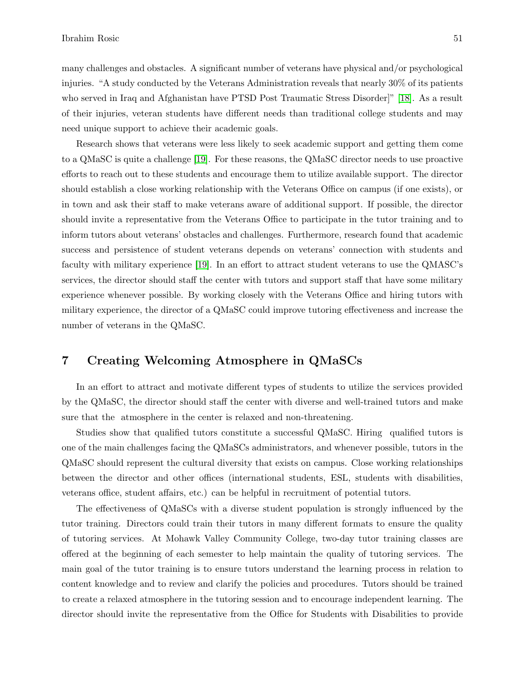many challenges and obstacles. A significant number of veterans have physical and/or psychological injuries. "A study conducted by the Veterans Administration reveals that nearly 30% of its patients who served in Iraq and Afghanistan have PTSD Post Traumatic Stress Disorder]" [18]. As a result of their injuries, veteran students have different needs than traditional college students and may need unique support to achieve their academic goals.

Research shows that veterans were less likely to seek academic support and getting them come to a QMaSC is quite a challenge [19]. For these reasons, the QMaSC director needs to use proactive efforts to reach out to these students and encourage them to utilize available support. The director should establish a close working relationship with the Veterans Office on campus (if one exists), or in town and ask their staff to make veterans aware of additional support. If possible, the director should invite a representative from the Veterans Office to participate in the tutor training and to inform tutors about veterans' obstacles and challenges. Furthermore, research found that academic success and persistence of student veterans depends on veterans' connection with students and faculty with military experience [19]. In an effort to attract student veterans to use the QMASC's services, the director should staff the center with tutors and support staff that have some military experience whenever possible. By working closely with the Veterans Office and hiring tutors with military experience, the director of a QMaSC could improve tutoring effectiveness and increase the number of veterans in the QMaSC.

#### 7 Creating Welcoming Atmosphere in QMaSCs

In an effort to attract and motivate different types of students to utilize the services provided by the QMaSC, the director should staff the center with diverse and well-trained tutors and make sure that the atmosphere in the center is relaxed and non-threatening.

Studies show that qualified tutors constitute a successful QMaSC. Hiring qualified tutors is one of the main challenges facing the QMaSCs administrators, and whenever possible, tutors in the QMaSC should represent the cultural diversity that exists on campus. Close working relationships between the director and other offices (international students, ESL, students with disabilities, veterans office, student affairs, etc.) can be helpful in recruitment of potential tutors.

The effectiveness of QMaSCs with a diverse student population is strongly influenced by the tutor training. Directors could train their tutors in many different formats to ensure the quality of tutoring services. At Mohawk Valley Community College, two-day tutor training classes are offered at the beginning of each semester to help maintain the quality of tutoring services. The main goal of the tutor training is to ensure tutors understand the learning process in relation to content knowledge and to review and clarify the policies and procedures. Tutors should be trained to create a relaxed atmosphere in the tutoring session and to encourage independent learning. The director should invite the representative from the Office for Students with Disabilities to provide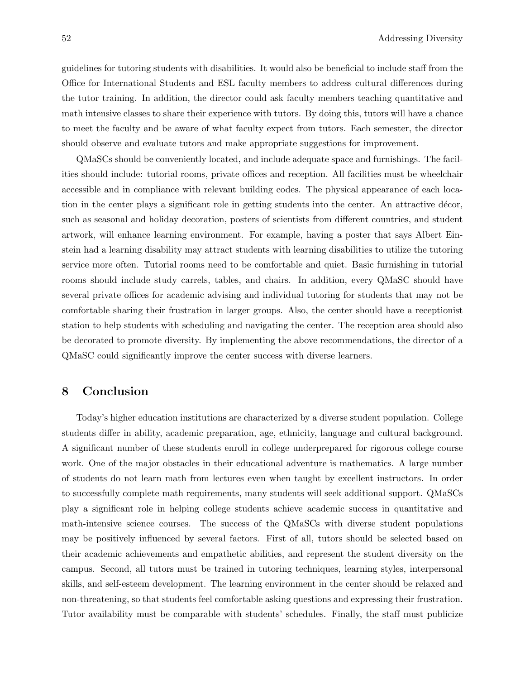guidelines for tutoring students with disabilities. It would also be beneficial to include staff from the Office for International Students and ESL faculty members to address cultural differences during the tutor training. In addition, the director could ask faculty members teaching quantitative and math intensive classes to share their experience with tutors. By doing this, tutors will have a chance to meet the faculty and be aware of what faculty expect from tutors. Each semester, the director should observe and evaluate tutors and make appropriate suggestions for improvement.

QMaSCs should be conveniently located, and include adequate space and furnishings. The facilities should include: tutorial rooms, private offices and reception. All facilities must be wheelchair accessible and in compliance with relevant building codes. The physical appearance of each location in the center plays a significant role in getting students into the center. An attractive décor, such as seasonal and holiday decoration, posters of scientists from different countries, and student artwork, will enhance learning environment. For example, having a poster that says Albert Einstein had a learning disability may attract students with learning disabilities to utilize the tutoring service more often. Tutorial rooms need to be comfortable and quiet. Basic furnishing in tutorial rooms should include study carrels, tables, and chairs. In addition, every QMaSC should have several private offices for academic advising and individual tutoring for students that may not be comfortable sharing their frustration in larger groups. Also, the center should have a receptionist station to help students with scheduling and navigating the center. The reception area should also be decorated to promote diversity. By implementing the above recommendations, the director of a QMaSC could significantly improve the center success with diverse learners.

## 8 Conclusion

Today's higher education institutions are characterized by a diverse student population. College students differ in ability, academic preparation, age, ethnicity, language and cultural background. A significant number of these students enroll in college underprepared for rigorous college course work. One of the major obstacles in their educational adventure is mathematics. A large number of students do not learn math from lectures even when taught by excellent instructors. In order to successfully complete math requirements, many students will seek additional support. QMaSCs play a significant role in helping college students achieve academic success in quantitative and math-intensive science courses. The success of the QMaSCs with diverse student populations may be positively influenced by several factors. First of all, tutors should be selected based on their academic achievements and empathetic abilities, and represent the student diversity on the campus. Second, all tutors must be trained in tutoring techniques, learning styles, interpersonal skills, and self-esteem development. The learning environment in the center should be relaxed and non-threatening, so that students feel comfortable asking questions and expressing their frustration. Tutor availability must be comparable with students' schedules. Finally, the staff must publicize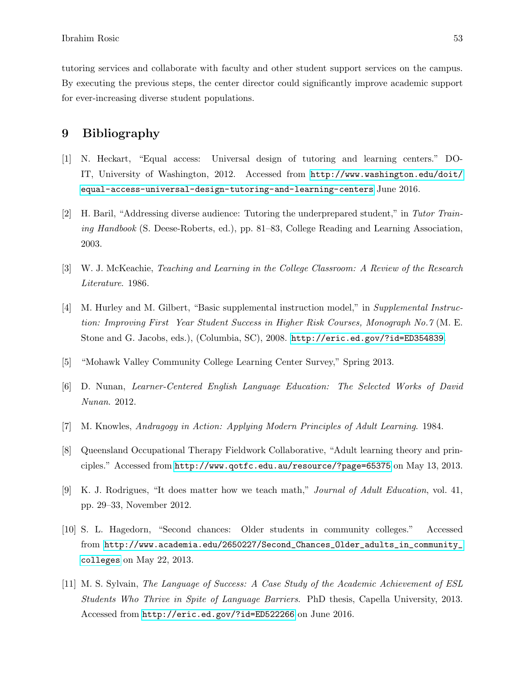tutoring services and collaborate with faculty and other student support services on the campus. By executing the previous steps, the center director could significantly improve academic support for ever-increasing diverse student populations.

#### 9 Bibliography

- [1] N. Heckart, "Equal access: Universal design of tutoring and learning centers." DO-IT, University of Washington, 2012. Accessed from [http://www.washington.edu/doit/](http://www.washington.edu/doit/equal-access-universal-design-tutoring-and-learning-centers) [equal-access-universal-design-tutoring-and-learning-centers](http://www.washington.edu/doit/equal-access-universal-design-tutoring-and-learning-centers) June 2016.
- [2] H. Baril, "Addressing diverse audience: Tutoring the underprepared student," in Tutor Training Handbook (S. Deese-Roberts, ed.), pp. 81–83, College Reading and Learning Association, 2003.
- [3] W. J. McKeachie, Teaching and Learning in the College Classroom: A Review of the Research Literature. 1986.
- [4] M. Hurley and M. Gilbert, "Basic supplemental instruction model," in Supplemental Instruction: Improving First Year Student Success in Higher Risk Courses, Monograph No.7 (M. E. Stone and G. Jacobs, eds.), (Columbia, SC), 2008. <http://eric.ed.gov/?id=ED354839>.
- [5] "Mohawk Valley Community College Learning Center Survey," Spring 2013.
- [6] D. Nunan, Learner-Centered English Language Education: The Selected Works of David Nunan. 2012.
- [7] M. Knowles, Andragogy in Action: Applying Modern Principles of Adult Learning. 1984.
- [8] Queensland Occupational Therapy Fieldwork Collaborative, "Adult learning theory and principles." Accessed from <http://www.qotfc.edu.au/resource/?page=65375> on May 13, 2013.
- [9] K. J. Rodrigues, "It does matter how we teach math," Journal of Adult Education, vol. 41, pp. 29–33, November 2012.
- [10] S. L. Hagedorn, "Second chances: Older students in community colleges." Accessed from [http://www.academia.edu/2650227/Second\\_Chances\\_Older\\_adults\\_in\\_community\\_](http://www.academia.edu/2650227/Second_Chances_Older_adults_in_community_colleges) [colleges](http://www.academia.edu/2650227/Second_Chances_Older_adults_in_community_colleges) on May 22, 2013.
- [11] M. S. Sylvain, The Language of Success: A Case Study of the Academic Achievement of ESL Students Who Thrive in Spite of Language Barriers. PhD thesis, Capella University, 2013. Accessed from <http://eric.ed.gov/?id=ED522266> on June 2016.